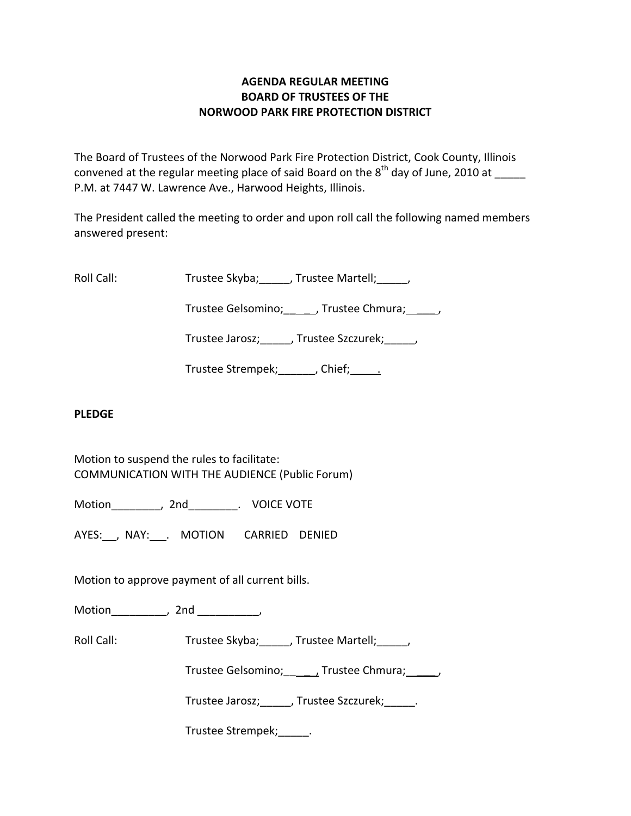### **AGENDA REGULAR MEETING BOARD OF TRUSTEES OF THE NORWOOD PARK FIRE PROTECTION DISTRICT**

The Board of Trustees of the Norwood Park Fire Protection District, Cook County, Illinois convened at the regular meeting place of said Board on the  $8^{\text{th}}$  day of June, 2010 at  $\_\_$ P.M. at 7447 W. Lawrence Ave., Harwood Heights, Illinois.

The President called the meeting to order and upon roll call the following named members answered present:

Roll Call: Trustee Skyba; J. Trustee Martell; Trustee Martell;

Trustee Gelsomino; frustee Chmura;  $\qquad$ 

Trustee Jarosz; J. Trustee Szczurek; J.

Trustee Strempek; fief; etc.

# **PLEDGE**

Motion to suspend the rules to facilitate: COMMUNICATION WITH THE AUDIENCE (Public Forum)

Motion \_\_\_\_\_\_\_\_, 2nd \_\_\_\_\_\_\_\_. VOICE VOTE

AYES: , NAY: . MOTION CARRIED DENIED

Motion to approve payment of all current bills.

Motion the motion of the motion of the motion of the motion of the motion of the motion of the motion of the m<br>Second motion of the motion of the motion of the motion of the motion of the motion of the motion of the motio<br>

Roll Call: Trustee Skyba; J. Trustee Martell; J.

Trustee Gelsomino; \_\_\_\_\_, Trustee Chmura; \_\_\_\_\_\_,

Trustee Jarosz;\_\_\_\_\_, Trustee Szczurek;\_\_\_\_\_.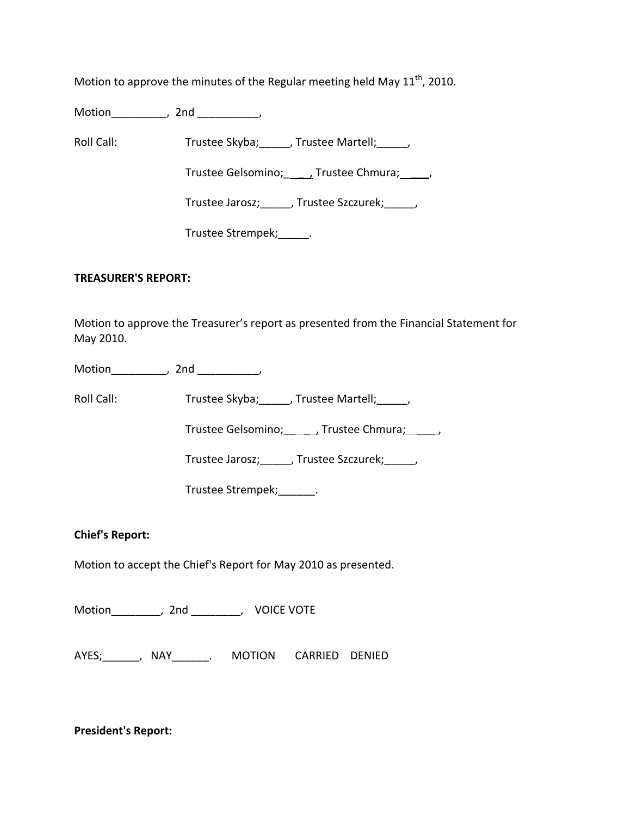Motion to approve the minutes of the Regular meeting held May  $11<sup>th</sup>$ , 2010.

Motion\_\_\_\_\_\_\_\_\_, 2nd \_\_\_\_\_\_\_\_\_\_,

Roll Call: Trustee Skyba; Trustee Martell; Trustee Martell;

Trustee Gelsomino; \_\_\_\_\_\_, Trustee Chmura; \_\_\_\_\_,

Trustee Jarosz;\_\_\_\_\_, Trustee Szczurek;\_\_\_\_\_,

Trustee Strempek; [100]

#### **TREASURER'S REPORT:**

Motion to approve the Treasurer's report as presented from the Financial Statement for May 2010.

Motion the contract of the contract of the contract of the contract of the contract of the contract of the contract of the contract of the contract of the contract of the contract of the contract of the contract of the con

Roll Call: Trustee Skyba; \_\_\_\_, Trustee Martell; \_\_\_\_\_,

Trustee Gelsomino; \_\_\_\_\_\_, Trustee Chmura; \_\_\_\_\_,

Trustee Jarosz;\_\_\_\_\_, Trustee Szczurek;\_\_\_\_\_,

Trustee Strempek;\_\_\_\_\_\_.

# **Chief's Report:**

Motion to accept the Chief's Report for May 2010 as presented.

Motion\_\_\_\_\_\_\_\_, 2nd \_\_\_\_\_\_\_\_, VOICE VOTE

AYES;\_\_\_\_\_\_, NAY\_\_\_\_\_\_. MOTION CARRIED DENIED

**President's Report:**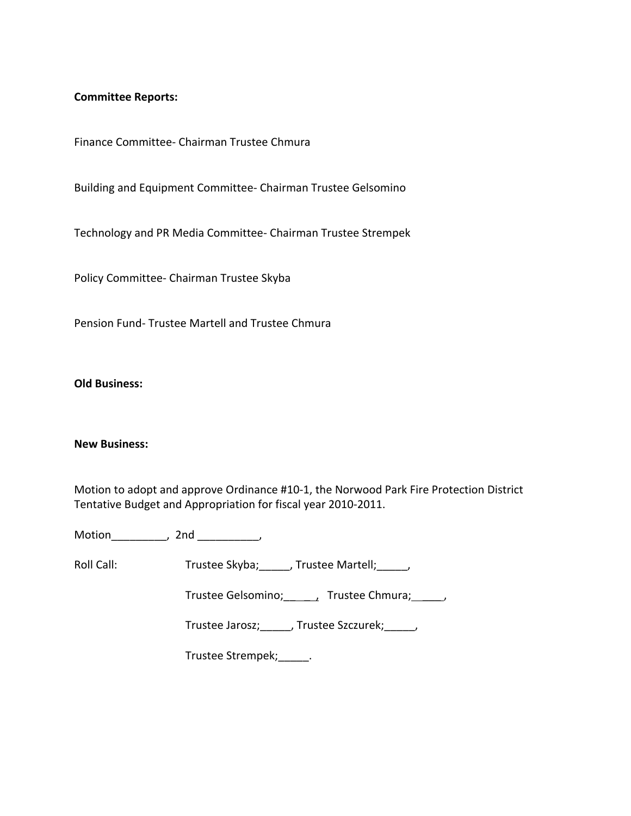#### **Committee Reports:**

Finance Committee‐ Chairman Trustee Chmura

Building and Equipment Committee‐ Chairman Trustee Gelsomino

Technology and PR Media Committee‐ Chairman Trustee Strempek

Policy Committee‐ Chairman Trustee Skyba

Pension Fund‐ Trustee Martell and Trustee Chmura

**Old Business:**

#### **New Business:**

Motion to adopt and approve Ordinance #10‐1, the Norwood Park Fire Protection District Tentative Budget and Appropriation for fiscal year 2010‐2011.

Motion\_\_\_\_\_\_\_\_\_, 2nd \_\_\_\_\_\_\_\_\_\_,

Roll Call: Trustee Skyba; \_\_\_\_\_, Trustee Martell; \_\_\_\_\_,

Trustee Gelsomino; \_\_\_\_\_, Trustee Chmura; \_\_\_\_\_,

Trustee Jarosz;\_\_\_\_\_, Trustee Szczurek;\_\_\_\_\_,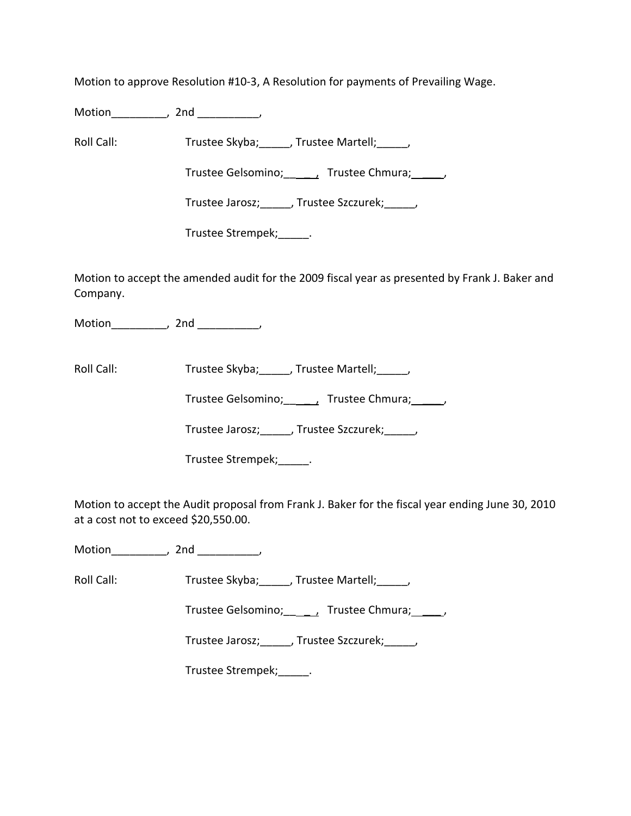Motion to approve Resolution #10‐3, A Resolution for payments of Prevailing Wage.

Motion\_\_\_\_\_\_\_\_\_, 2nd \_\_\_\_\_\_\_\_\_\_,

Roll Call: Trustee Skyba; Trustee Martell; Trustee Martell;

Trustee Gelsomino; \_\_\_\_\_\_, Trustee Chmura; \_\_\_\_\_,

Trustee Jarosz;\_\_\_\_\_, Trustee Szczurek;\_\_\_\_\_,

Trustee Strempek;\_\_\_\_\_.

Motion to accept the amended audit for the 2009 fiscal year as presented by Frank J. Baker and Company.

Motion\_\_\_\_\_\_\_\_\_\_, 2nd \_\_\_\_\_\_\_\_\_,

Roll Call: Trustee Skyba; Trustee Martell;

Trustee Gelsomino; \_\_\_\_\_, Trustee Chmura; \_\_\_\_\_,

Trustee Jarosz;\_\_\_\_\_, Trustee Szczurek;\_\_\_\_\_,

Trustee Strempek;\_\_\_\_\_.

Motion to accept the Audit proposal from Frank J. Baker for the fiscal year ending June 30, 2010 at a cost not to exceed \$20,550.00.

Motion\_\_\_\_\_\_\_\_\_\_, 2nd \_\_\_\_\_\_\_\_\_\_,

Roll Call: Trustee Skyba; J. Trustee Martell; J.

Trustee Gelsomino; \_\_\_\_\_, Trustee Chmura; \_\_\_\_\_,

Trustee Jarosz;\_\_\_\_\_, Trustee Szczurek;\_\_\_\_\_,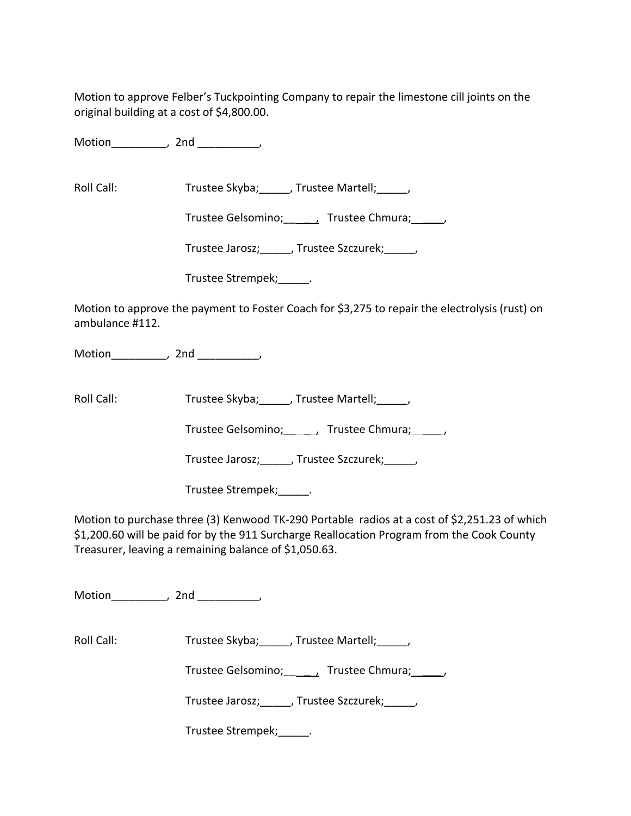Motion to approve Felber's Tuckpointing Company to repair the limestone cill joints on the original building at a cost of \$4,800.00.

Motion the motion of the motion of the motion of the motion of the motion of the motion of the motion of the m<br>Second motion of the motion of the motion of the motion of the motion of the motion of the motion of the motio<br>

Roll Call: Trustee Skyba; \_\_\_\_, Trustee Martell; \_\_\_\_,

Trustee Gelsomino; \_\_\_\_\_\_, Trustee Chmura; \_\_\_\_\_,

Trustee Jarosz;\_\_\_\_\_, Trustee Szczurek;\_\_\_\_\_,

Trustee Strempek;\_\_\_\_\_.

Motion to approve the payment to Foster Coach for \$3,275 to repair the electrolysis (rust) on ambulance #112.

Motion\_\_\_\_\_\_\_\_\_, 2nd \_\_\_\_\_\_\_\_\_\_,

Roll Call: Trustee Skyba; Trustee Martell; Trustee Martell;

Trustee Gelsomino; \_\_\_\_\_, Trustee Chmura; \_\_\_\_\_,

Trustee Jarosz;\_\_\_\_\_, Trustee Szczurek;\_\_\_\_\_,

Trustee Strempek;\_\_\_\_\_.

Motion to purchase three (3) Kenwood TK‐290 Portable radios at a cost of \$2,251.23 of which \$1,200.60 will be paid for by the 911 Surcharge Reallocation Program from the Cook County Treasurer, leaving a remaining balance of \$1,050.63.

Motion the contract of the contract of the contract of the contract of the contract of the contract of the contract of the contract of the contract of the contract of the contract of the contract of the contract of the con

Roll Call: Trustee Skyba; \_\_\_\_, Trustee Martell; \_\_\_\_,

Trustee Gelsomino; \_\_\_\_\_, Trustee Chmura; \_\_\_\_\_,

Trustee Jarosz;\_\_\_\_\_, Trustee Szczurek;\_\_\_\_\_,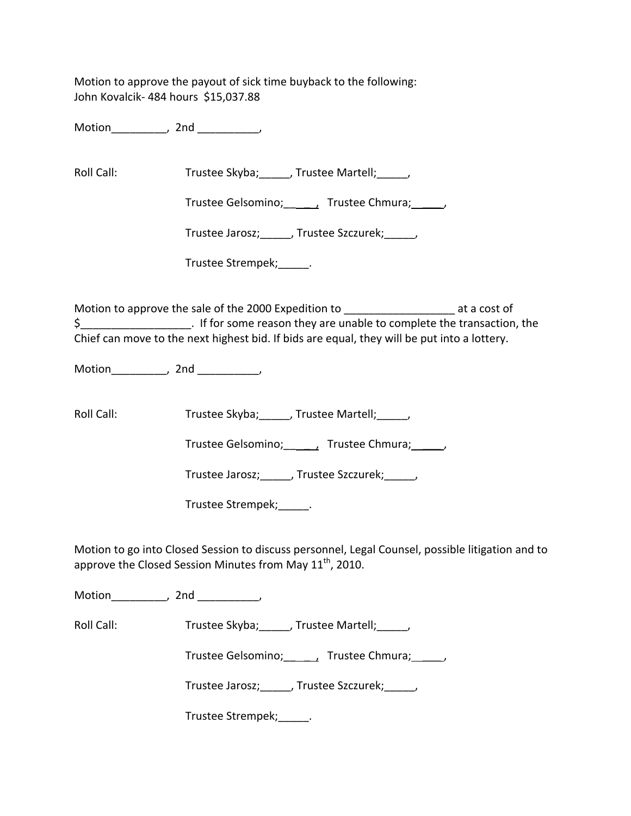Motion to approve the payout of sick time buyback to the following: John Kovalcik‐ 484 hours \$15,037.88

Motion the motion of the motion of the motion of the motion of the motion of the motion of the motion of the m<br>Second motion of the motion of the motion of the motion of the motion of the motion of the motion of the motio<br>

Roll Call: Trustee Skyba; Trustee Martell; Trustee Martell;

Trustee Gelsomino; \_\_\_\_\_, Trustee Chmura; \_\_\_\_\_,

Trustee Jarosz; Frustee Szczurek; Frustee Jarosz;

Trustee Strempek;\_\_\_\_\_.

Motion to approve the sale of the 2000 Expedition to \_\_\_\_\_\_\_\_\_\_\_\_\_\_\_\_\_\_\_\_\_\_\_\_ at a cost of \$\_\_\_\_\_\_\_\_\_\_\_\_\_\_\_\_\_\_. If for some reason they are unable to complete the transaction, the Chief can move to the next highest bid. If bids are equal, they will be put into a lottery.

Motion the motion of the motion of the motion of the motion of the motion of the motion of the motion of the m<br>Second motion of the motion of the motion of the motion of the motion of the motion of the motion of the motio<br>

Roll Call: Trustee Skyba; J. Trustee Martell; J.

Trustee Gelsomino; \_\_\_\_, Trustee Chmura; \_\_\_\_\_,

Trustee Jarosz; J. Trustee Szczurek; J.

Trustee Strempek;\_\_\_\_\_.

Motion to go into Closed Session to discuss personnel, Legal Counsel, possible litigation and to approve the Closed Session Minutes from May  $11^{\text{th}}$ , 2010.

Motion the contract of the contract of the contract of the contract of the contract of the contract of the contract of the contract of the contract of the contract of the contract of the contract of the contract of the con

Roll Call: Trustee Skyba; Trustee Martell;

Trustee Gelsomino; \_\_\_\_\_\_, Trustee Chmura; \_\_\_\_\_,

Trustee Jarosz; Juliustee Szczurek; Julius